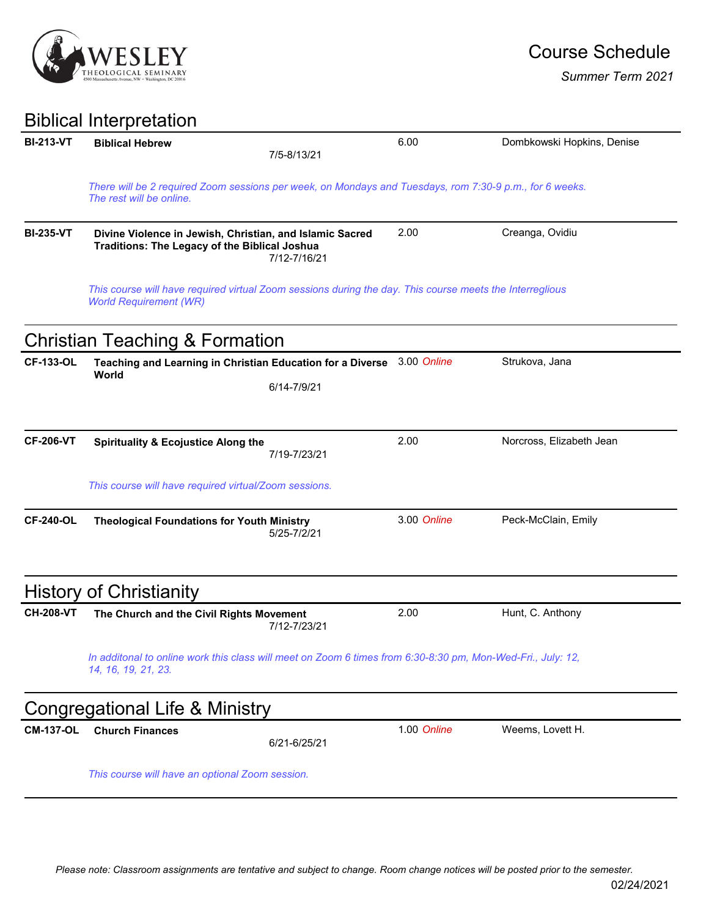

*Summer Term 2021*

## Biblical Interpretation

| <b>BI-213-VT</b> | <b>Biblical Hebrew</b>                                                                                                                    |              | 6.00        | Dombkowski Hopkins, Denise |  |  |
|------------------|-------------------------------------------------------------------------------------------------------------------------------------------|--------------|-------------|----------------------------|--|--|
|                  |                                                                                                                                           | 7/5-8/13/21  |             |                            |  |  |
|                  | There will be 2 required Zoom sessions per week, on Mondays and Tuesdays, rom 7:30-9 p.m., for 6 weeks.<br>The rest will be online.       |              |             |                            |  |  |
| <b>BI-235-VT</b> | Divine Violence in Jewish, Christian, and Islamic Sacred<br>Traditions: The Legacy of the Biblical Joshua                                 | 7/12-7/16/21 | 2.00        | Creanga, Ovidiu            |  |  |
|                  | This course will have required virtual Zoom sessions during the day. This course meets the Interreglious<br><b>World Requirement (WR)</b> |              |             |                            |  |  |
|                  | <b>Christian Teaching &amp; Formation</b>                                                                                                 |              |             |                            |  |  |
| <b>CF-133-OL</b> | Teaching and Learning in Christian Education for a Diverse                                                                                |              | 3.00 Online | Strukova, Jana             |  |  |
|                  | World                                                                                                                                     | 6/14-7/9/21  |             |                            |  |  |
|                  |                                                                                                                                           |              |             |                            |  |  |
| <b>CF-206-VT</b> | <b>Spirituality &amp; Ecojustice Along the</b>                                                                                            | 7/19-7/23/21 | 2.00        | Norcross, Elizabeth Jean   |  |  |
|                  | This course will have required virtual/Zoom sessions.                                                                                     |              |             |                            |  |  |
| <b>CF-240-OL</b> | <b>Theological Foundations for Youth Ministry</b>                                                                                         | 5/25-7/2/21  | 3.00 Online | Peck-McClain, Emily        |  |  |
|                  | <b>History of Christianity</b>                                                                                                            |              |             |                            |  |  |
| <b>CH-208-VT</b> | The Church and the Civil Rights Movement                                                                                                  | 7/12-7/23/21 | 2.00        | Hunt, C. Anthony           |  |  |
|                  | In additonal to online work this class will meet on Zoom 6 times from 6:30-8:30 pm, Mon-Wed-Fri., July: 12,<br>14, 16, 19, 21, 23.        |              |             |                            |  |  |
|                  | Congregational Life & Ministry                                                                                                            |              |             |                            |  |  |
| <b>CM-137-OL</b> | <b>Church Finances</b>                                                                                                                    | 6/21-6/25/21 | 1.00 Online | Weems, Lovett H.           |  |  |
|                  | This course will have an optional Zoom session.                                                                                           |              |             |                            |  |  |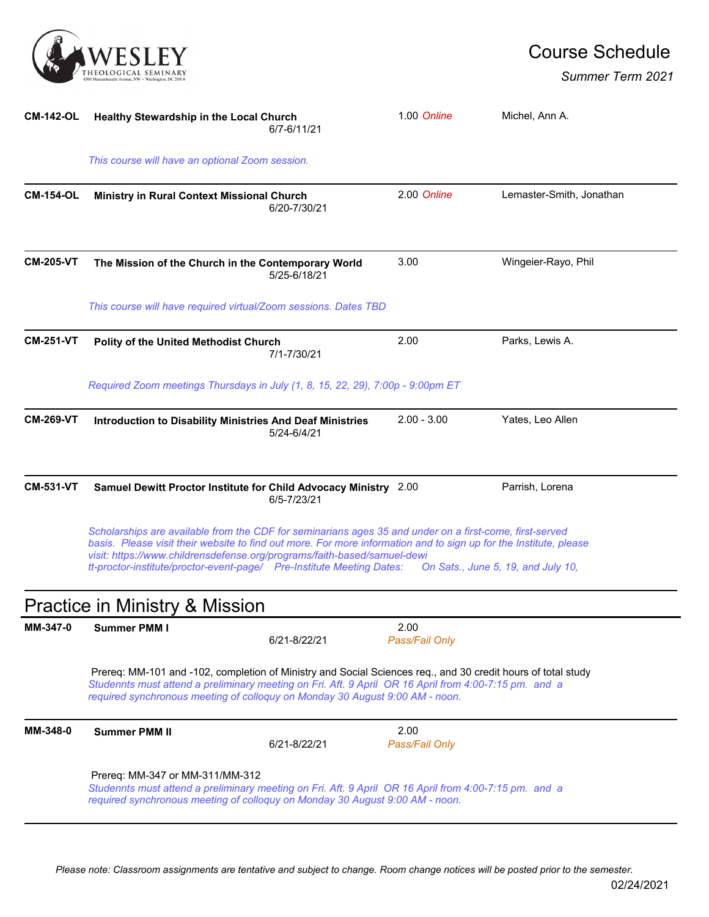

## Course Schedule

*Summer Term 2021*

| <b>CM-142-OL</b> | Healthy Stewardship in the Local Church                                                                                                                                                                                                                                                                                                                                                                                 | 6/7-6/11/21  | 1.00 Online            | Michel, Ann A.           |  |  |
|------------------|-------------------------------------------------------------------------------------------------------------------------------------------------------------------------------------------------------------------------------------------------------------------------------------------------------------------------------------------------------------------------------------------------------------------------|--------------|------------------------|--------------------------|--|--|
|                  | This course will have an optional Zoom session.                                                                                                                                                                                                                                                                                                                                                                         |              |                        |                          |  |  |
| <b>CM-154-OL</b> | Ministry in Rural Context Missional Church                                                                                                                                                                                                                                                                                                                                                                              | 6/20-7/30/21 | 2.00 Online            | Lemaster-Smith, Jonathan |  |  |
| <b>CM-205-VT</b> | The Mission of the Church in the Contemporary World                                                                                                                                                                                                                                                                                                                                                                     | 5/25-6/18/21 | 3.00                   | Wingeier-Rayo, Phil      |  |  |
|                  | This course will have required virtual/Zoom sessions. Dates TBD                                                                                                                                                                                                                                                                                                                                                         |              |                        |                          |  |  |
| <b>CM-251-VT</b> | Polity of the United Methodist Church                                                                                                                                                                                                                                                                                                                                                                                   | 7/1-7/30/21  | 2.00                   | Parks, Lewis A.          |  |  |
|                  | Required Zoom meetings Thursdays in July (1, 8, 15, 22, 29), 7:00p - 9:00pm ET                                                                                                                                                                                                                                                                                                                                          |              |                        |                          |  |  |
| <b>CM-269-VT</b> | <b>Introduction to Disability Ministries And Deaf Ministries</b>                                                                                                                                                                                                                                                                                                                                                        | 5/24-6/4/21  | $2.00 - 3.00$          | Yates, Leo Allen         |  |  |
| <b>CM-531-VT</b> | Samuel Dewitt Proctor Institute for Child Advocacy Ministry 2.00                                                                                                                                                                                                                                                                                                                                                        | 6/5-7/23/21  |                        | Parrish, Lorena          |  |  |
|                  | Scholarships are available from the CDF for seminarians ages 35 and under on a first-come, first-served<br>basis. Please visit their website to find out more. For more information and to sign up for the Institute, please<br>visit: https://www.childrensdefense.org/programs/faith-based/samuel-dewi<br>tt-proctor-institute/proctor-event-page/ Pre-Institute Meeting Dates:<br>On Sats., June 5, 19, and July 10, |              |                        |                          |  |  |
|                  | Practice in Ministry & Mission                                                                                                                                                                                                                                                                                                                                                                                          |              |                        |                          |  |  |
| MM-347-0         | <b>Summer PMM I</b>                                                                                                                                                                                                                                                                                                                                                                                                     | 6/21-8/22/21 | 2.00<br>Pass/Fail Only |                          |  |  |
|                  | Prereq: MM-101 and -102, completion of Ministry and Social Sciences req., and 30 credit hours of total study<br>Studennts must attend a preliminary meeting on Fri. Aft. 9 April OR 16 April from 4:00-7:15 pm. and a<br>required synchronous meeting of colloquy on Monday 30 August 9:00 AM - noon.                                                                                                                   |              |                        |                          |  |  |
| MM-348-0         | <b>Summer PMM II</b>                                                                                                                                                                                                                                                                                                                                                                                                    | 6/21-8/22/21 | 2.00<br>Pass/Fail Only |                          |  |  |
|                  | Prereq: MM-347 or MM-311/MM-312<br>Studennts must attend a preliminary meeting on Fri. Aft. 9 April OR 16 April from 4:00-7:15 pm. and a<br>required synchronous meeting of colloquy on Monday 30 August 9:00 AM - noon.                                                                                                                                                                                                |              |                        |                          |  |  |
|                  |                                                                                                                                                                                                                                                                                                                                                                                                                         |              |                        |                          |  |  |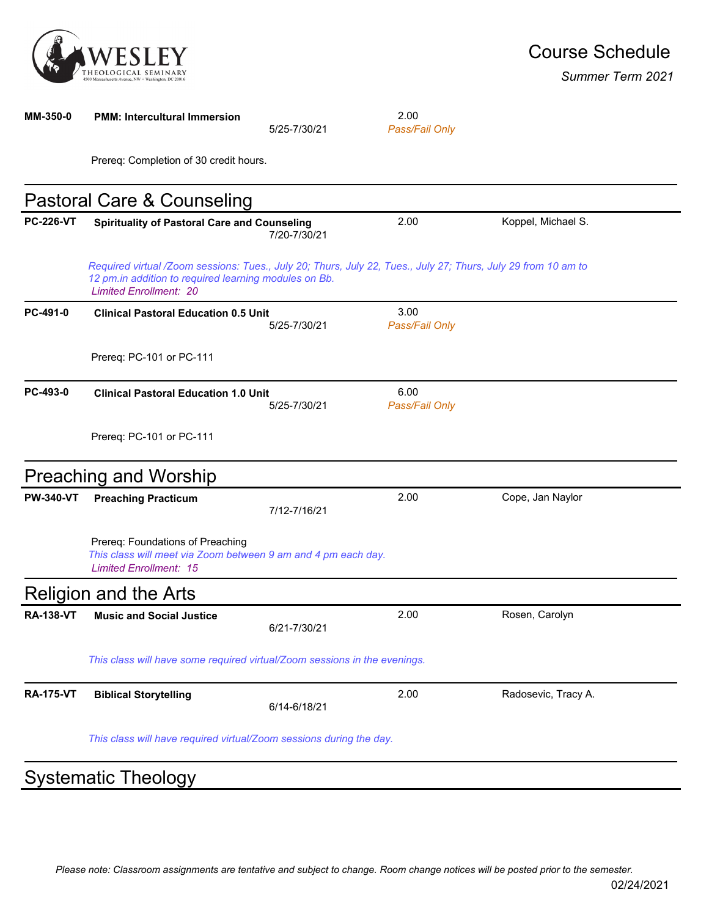

*Summer Term 2021*

| MM-350-0         | <b>PMM: Intercultural Immersion</b>                                                                                                                                                                     | 5/25-7/30/21 | 2.00<br>Pass/Fail Only |                     |  |
|------------------|---------------------------------------------------------------------------------------------------------------------------------------------------------------------------------------------------------|--------------|------------------------|---------------------|--|
|                  | Prereq: Completion of 30 credit hours.                                                                                                                                                                  |              |                        |                     |  |
|                  | Pastoral Care & Counseling                                                                                                                                                                              |              |                        |                     |  |
| <b>PC-226-VT</b> | <b>Spirituality of Pastoral Care and Counseling</b>                                                                                                                                                     | 7/20-7/30/21 | 2.00                   | Koppel, Michael S.  |  |
|                  | Required virtual /Zoom sessions: Tues., July 20; Thurs, July 22, Tues., July 27; Thurs, July 29 from 10 am to<br>12 pm.in addition to required learning modules on Bb.<br><b>Limited Enrollment: 20</b> |              |                        |                     |  |
| PC-491-0         | <b>Clinical Pastoral Education 0.5 Unit</b>                                                                                                                                                             | 5/25-7/30/21 | 3.00<br>Pass/Fail Only |                     |  |
|                  | Prereq: PC-101 or PC-111                                                                                                                                                                                |              |                        |                     |  |
| PC-493-0         | <b>Clinical Pastoral Education 1.0 Unit</b>                                                                                                                                                             | 5/25-7/30/21 | 6.00<br>Pass/Fail Only |                     |  |
|                  | Prereq: PC-101 or PC-111                                                                                                                                                                                |              |                        |                     |  |
|                  | <b>Preaching and Worship</b>                                                                                                                                                                            |              |                        |                     |  |
| <b>PW-340-VT</b> | <b>Preaching Practicum</b>                                                                                                                                                                              | 7/12-7/16/21 | 2.00                   | Cope, Jan Naylor    |  |
|                  | Prereq: Foundations of Preaching<br>This class will meet via Zoom between 9 am and 4 pm each day.<br><b>Limited Enrollment: 15</b>                                                                      |              |                        |                     |  |
|                  | <b>Religion and the Arts</b>                                                                                                                                                                            |              |                        |                     |  |
| <b>RA-138-VT</b> | <b>Music and Social Justice</b>                                                                                                                                                                         | 6/21-7/30/21 | 2.00                   | Rosen, Carolyn      |  |
|                  | This class will have some required virtual/Zoom sessions in the evenings.                                                                                                                               |              |                        |                     |  |
| <b>RA-175-VT</b> | <b>Biblical Storytelling</b>                                                                                                                                                                            | 6/14-6/18/21 | 2.00                   | Radosevic, Tracy A. |  |
|                  | This class will have required virtual/Zoom sessions during the day.                                                                                                                                     |              |                        |                     |  |
|                  | <b>Systematic Theology</b>                                                                                                                                                                              |              |                        |                     |  |